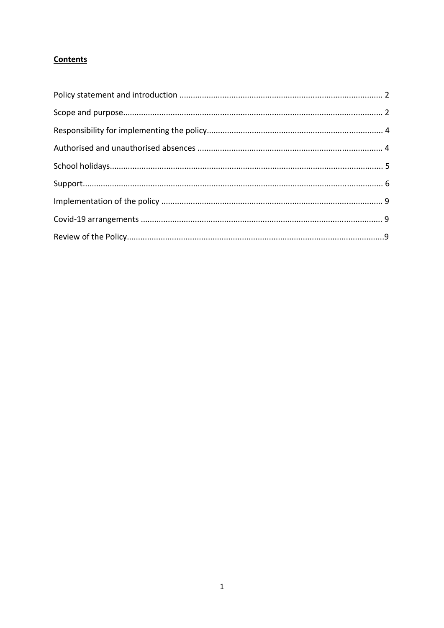# **Contents**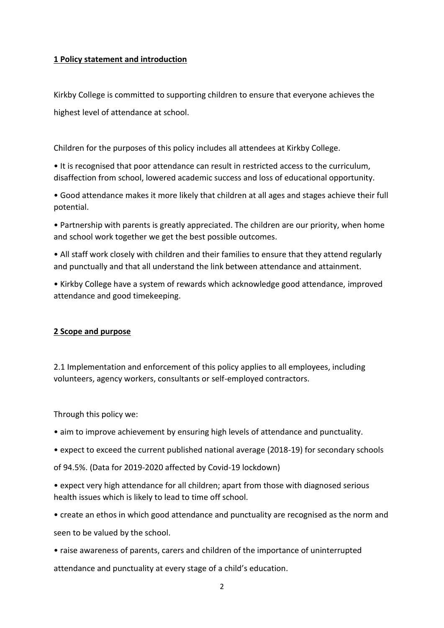#### **1 Policy statement and introduction**

Kirkby College is committed to supporting children to ensure that everyone achieves the highest level of attendance at school.

Children for the purposes of this policy includes all attendees at Kirkby College.

• It is recognised that poor attendance can result in restricted access to the curriculum, disaffection from school, lowered academic success and loss of educational opportunity.

• Good attendance makes it more likely that children at all ages and stages achieve their full potential.

• Partnership with parents is greatly appreciated. The children are our priority, when home and school work together we get the best possible outcomes.

• All staff work closely with children and their families to ensure that they attend regularly and punctually and that all understand the link between attendance and attainment.

• Kirkby College have a system of rewards which acknowledge good attendance, improved attendance and good timekeeping.

## **2 Scope and purpose**

2.1 Implementation and enforcement of this policy applies to all employees, including volunteers, agency workers, consultants or self-employed contractors.

Through this policy we:

• aim to improve achievement by ensuring high levels of attendance and punctuality.

• expect to exceed the current published national average (2018-19) for secondary schools

of 94.5%. (Data for 2019-2020 affected by Covid-19 lockdown)

• expect very high attendance for all children; apart from those with diagnosed serious health issues which is likely to lead to time off school.

• create an ethos in which good attendance and punctuality are recognised as the norm and seen to be valued by the school.

• raise awareness of parents, carers and children of the importance of uninterrupted attendance and punctuality at every stage of a child's education.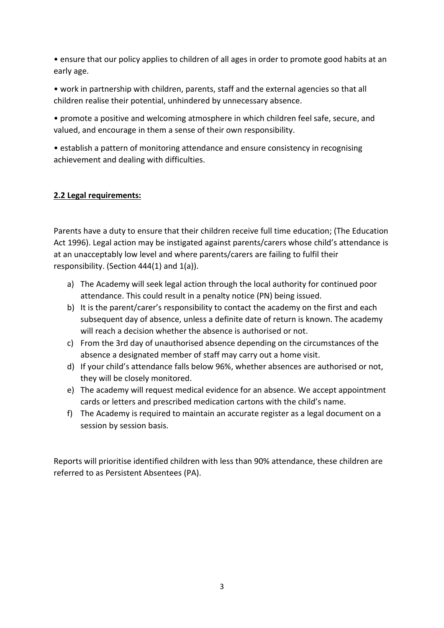• ensure that our policy applies to children of all ages in order to promote good habits at an early age.

• work in partnership with children, parents, staff and the external agencies so that all children realise their potential, unhindered by unnecessary absence.

• promote a positive and welcoming atmosphere in which children feel safe, secure, and valued, and encourage in them a sense of their own responsibility.

• establish a pattern of monitoring attendance and ensure consistency in recognising achievement and dealing with difficulties.

## **2.2 Legal requirements:**

Parents have a duty to ensure that their children receive full time education; (The Education Act 1996). Legal action may be instigated against parents/carers whose child's attendance is at an unacceptably low level and where parents/carers are failing to fulfil their responsibility. (Section 444(1) and 1(a)).

- a) The Academy will seek legal action through the local authority for continued poor attendance. This could result in a penalty notice (PN) being issued.
- b) It is the parent/carer's responsibility to contact the academy on the first and each subsequent day of absence, unless a definite date of return is known. The academy will reach a decision whether the absence is authorised or not.
- c) From the 3rd day of unauthorised absence depending on the circumstances of the absence a designated member of staff may carry out a home visit.
- d) If your child's attendance falls below 96%, whether absences are authorised or not, they will be closely monitored.
- e) The academy will request medical evidence for an absence. We accept appointment cards or letters and prescribed medication cartons with the child's name.
- f) The Academy is required to maintain an accurate register as a legal document on a session by session basis.

Reports will prioritise identified children with less than 90% attendance, these children are referred to as Persistent Absentees (PA).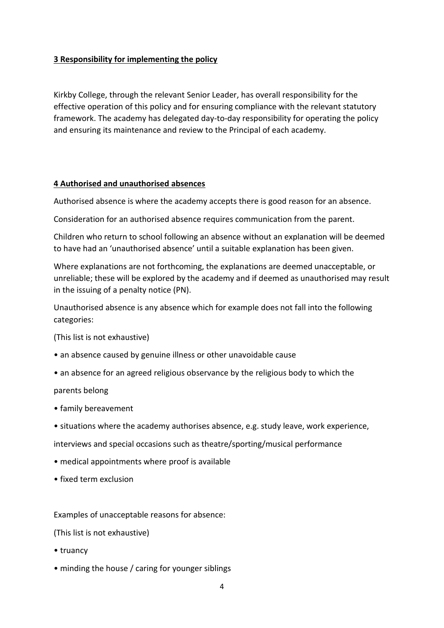#### **3 Responsibility for implementing the policy**

Kirkby College, through the relevant Senior Leader, has overall responsibility for the effective operation of this policy and for ensuring compliance with the relevant statutory framework. The academy has delegated day-to-day responsibility for operating the policy and ensuring its maintenance and review to the Principal of each academy.

#### **4 Authorised and unauthorised absences**

Authorised absence is where the academy accepts there is good reason for an absence.

Consideration for an authorised absence requires communication from the parent.

Children who return to school following an absence without an explanation will be deemed to have had an 'unauthorised absence' until a suitable explanation has been given.

Where explanations are not forthcoming, the explanations are deemed unacceptable, or unreliable; these will be explored by the academy and if deemed as unauthorised may result in the issuing of a penalty notice (PN).

Unauthorised absence is any absence which for example does not fall into the following categories:

(This list is not exhaustive)

- an absence caused by genuine illness or other unavoidable cause
- an absence for an agreed religious observance by the religious body to which the

#### parents belong

- family bereavement
- situations where the academy authorises absence, e.g. study leave, work experience,

interviews and special occasions such as theatre/sporting/musical performance

- medical appointments where proof is available
- fixed term exclusion

Examples of unacceptable reasons for absence:

(This list is not exhaustive)

- truancy
- minding the house / caring for younger siblings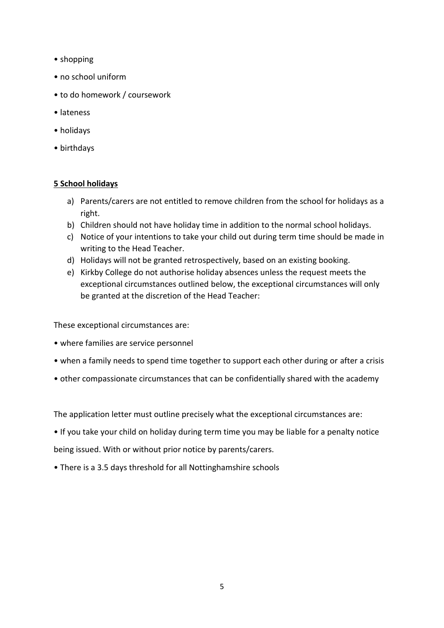- shopping
- no school uniform
- to do homework / coursework
- lateness
- holidays
- birthdays

## **5 School holidays**

- a) Parents/carers are not entitled to remove children from the school for holidays as a right.
- b) Children should not have holiday time in addition to the normal school holidays.
- c) Notice of your intentions to take your child out during term time should be made in writing to the Head Teacher.
- d) Holidays will not be granted retrospectively, based on an existing booking.
- e) Kirkby College do not authorise holiday absences unless the request meets the exceptional circumstances outlined below, the exceptional circumstances will only be granted at the discretion of the Head Teacher:

These exceptional circumstances are:

- where families are service personnel
- when a family needs to spend time together to support each other during or after a crisis
- other compassionate circumstances that can be confidentially shared with the academy

The application letter must outline precisely what the exceptional circumstances are:

- If you take your child on holiday during term time you may be liable for a penalty notice being issued. With or without prior notice by parents/carers.
- There is a 3.5 days threshold for all Nottinghamshire schools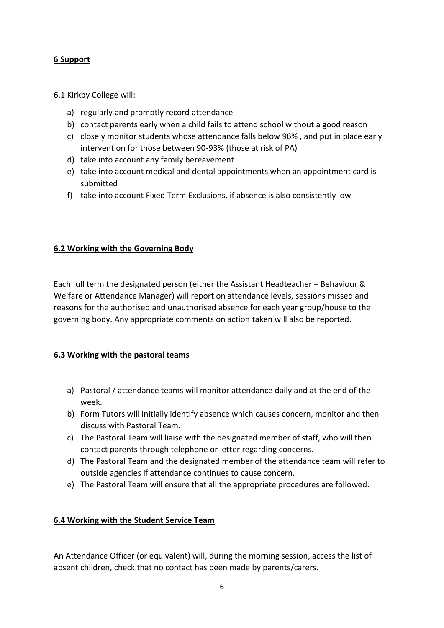## **6 Support**

#### 6.1 Kirkby College will:

- a) regularly and promptly record attendance
- b) contact parents early when a child fails to attend school without a good reason
- c) closely monitor students whose attendance falls below 96% , and put in place early intervention for those between 90-93% (those at risk of PA)
- d) take into account any family bereavement
- e) take into account medical and dental appointments when an appointment card is submitted
- f) take into account Fixed Term Exclusions, if absence is also consistently low

## **6.2 Working with the Governing Body**

Each full term the designated person (either the Assistant Headteacher – Behaviour & Welfare or Attendance Manager) will report on attendance levels, sessions missed and reasons for the authorised and unauthorised absence for each year group/house to the governing body. Any appropriate comments on action taken will also be reported.

## **6.3 Working with the pastoral teams**

- a) Pastoral / attendance teams will monitor attendance daily and at the end of the week.
- b) Form Tutors will initially identify absence which causes concern, monitor and then discuss with Pastoral Team.
- c) The Pastoral Team will liaise with the designated member of staff, who will then contact parents through telephone or letter regarding concerns.
- d) The Pastoral Team and the designated member of the attendance team will refer to outside agencies if attendance continues to cause concern.
- e) The Pastoral Team will ensure that all the appropriate procedures are followed.

## **6.4 Working with the Student Service Team**

An Attendance Officer (or equivalent) will, during the morning session, access the list of absent children, check that no contact has been made by parents/carers.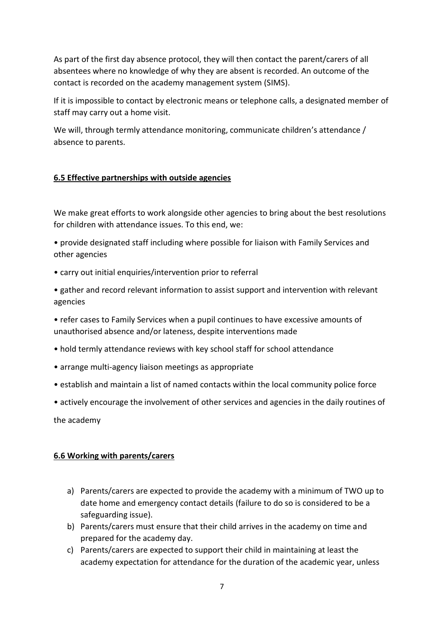As part of the first day absence protocol, they will then contact the parent/carers of all absentees where no knowledge of why they are absent is recorded. An outcome of the contact is recorded on the academy management system (SIMS).

If it is impossible to contact by electronic means or telephone calls, a designated member of staff may carry out a home visit.

We will, through termly attendance monitoring, communicate children's attendance / absence to parents.

## **6.5 Effective partnerships with outside agencies**

We make great efforts to work alongside other agencies to bring about the best resolutions for children with attendance issues. To this end, we:

- provide designated staff including where possible for liaison with Family Services and other agencies
- carry out initial enquiries/intervention prior to referral
- gather and record relevant information to assist support and intervention with relevant agencies
- refer cases to Family Services when a pupil continues to have excessive amounts of unauthorised absence and/or lateness, despite interventions made
- hold termly attendance reviews with key school staff for school attendance
- arrange multi-agency liaison meetings as appropriate
- establish and maintain a list of named contacts within the local community police force
- actively encourage the involvement of other services and agencies in the daily routines of

the academy

## **6.6 Working with parents/carers**

- a) Parents/carers are expected to provide the academy with a minimum of TWO up to date home and emergency contact details (failure to do so is considered to be a safeguarding issue).
- b) Parents/carers must ensure that their child arrives in the academy on time and prepared for the academy day.
- c) Parents/carers are expected to support their child in maintaining at least the academy expectation for attendance for the duration of the academic year, unless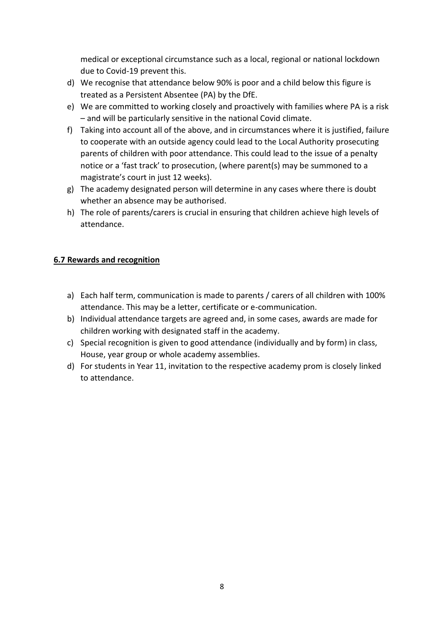medical or exceptional circumstance such as a local, regional or national lockdown due to Covid-19 prevent this.

- d) We recognise that attendance below 90% is poor and a child below this figure is treated as a Persistent Absentee (PA) by the DfE.
- e) We are committed to working closely and proactively with families where PA is a risk – and will be particularly sensitive in the national Covid climate.
- f) Taking into account all of the above, and in circumstances where it is justified, failure to cooperate with an outside agency could lead to the Local Authority prosecuting parents of children with poor attendance. This could lead to the issue of a penalty notice or a 'fast track' to prosecution, (where parent(s) may be summoned to a magistrate's court in just 12 weeks).
- g) The academy designated person will determine in any cases where there is doubt whether an absence may be authorised.
- h) The role of parents/carers is crucial in ensuring that children achieve high levels of attendance.

## **6.7 Rewards and recognition**

- a) Each half term, communication is made to parents / carers of all children with 100% attendance. This may be a letter, certificate or e-communication.
- b) Individual attendance targets are agreed and, in some cases, awards are made for children working with designated staff in the academy.
- c) Special recognition is given to good attendance (individually and by form) in class, House, year group or whole academy assemblies.
- d) For students in Year 11, invitation to the respective academy prom is closely linked to attendance.